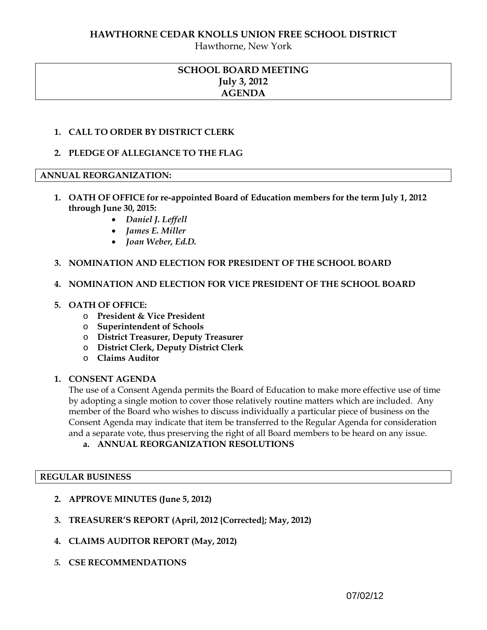## **HAWTHORNE CEDAR KNOLLS UNION FREE SCHOOL DISTRICT**

Hawthorne, New York

## **SCHOOL BOARD MEETING July 3, 2012 AGENDA**

## **1. CALL TO ORDER BY DISTRICT CLERK**

## **2. PLEDGE OF ALLEGIANCE TO THE FLAG**

## **ANNUAL REORGANIZATION:**

- **1. OATH OF OFFICE for re-appointed Board of Education members for the term July 1, 2012 through June 30, 2015:** 
	- *Daniel J. Leffell*
	- *James E. Miller*
	- *Joan Weber, Ed.D.*

#### **3. NOMINATION AND ELECTION FOR PRESIDENT OF THE SCHOOL BOARD**

#### **4. NOMINATION AND ELECTION FOR VICE PRESIDENT OF THE SCHOOL BOARD**

#### **5. OATH OF OFFICE:**

- o **President & Vice President**
- o **Superintendent of Schools**
- o **District Treasurer, Deputy Treasurer**
- o **District Clerk, Deputy District Clerk**
- o **Claims Auditor**

#### **1. CONSENT AGENDA**

The use of a Consent Agenda permits the Board of Education to make more effective use of time by adopting a single motion to cover those relatively routine matters which are included. Any member of the Board who wishes to discuss individually a particular piece of business on the Consent Agenda may indicate that item be transferred to the Regular Agenda for consideration and a separate vote, thus preserving the right of all Board members to be heard on any issue.

**a. ANNUAL REORGANIZATION RESOLUTIONS**

#### **REGULAR BUSINESS**

- **2. APPROVE MINUTES (June 5, 2012)**
- **3. TREASURER'S REPORT (April, 2012 {Corrected}; May, 2012)**
- **4. CLAIMS AUDITOR REPORT (May, 2012)**
- *5.* **CSE RECOMMENDATIONS**